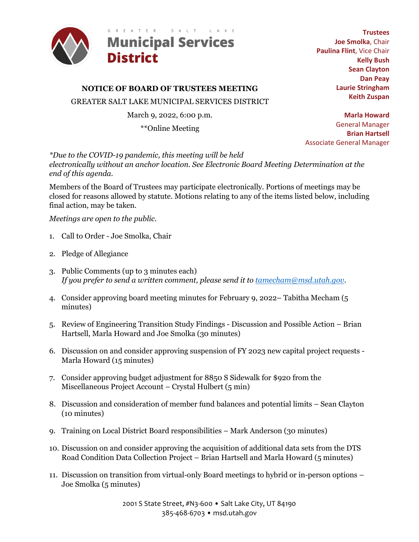

# **NOTICE OF BOARD OF TRUSTEES MEETING**

GREATER SALT LAKE MUNICIPAL SERVICES DISTRICT

March 9, 2022, 6:00 p.m.

\*\*Online Meeting

**Trustees Joe Smolka**, Chair **Paulina Flint**, Vice Chair **Kelly Bush Sean Clayton Dan Peay Laurie Stringham Keith Zuspan**

**Marla Howard** General Manager **Brian Hartsell** Associate General Manager

*\*Due to the COVID-19 pandemic, this meeting will be held electronically without an anchor location. See Electronic Board Meeting Determination at the end of this agenda.* 

Members of the Board of Trustees may participate electronically. Portions of meetings may be closed for reasons allowed by statute. Motions relating to any of the items listed below, including final action, may be taken.

*Meetings are open to the public*.

- 1. Call to Order Joe Smolka, Chair
- 2. Pledge of Allegiance
- 3. Public Comments (up to 3 minutes each) *If you prefer to send a written comment, please send it to [tamecham@msd.utah.gov.](mailto:tamecham@msd.utah.gov)*
- 4. Consider approving board meeting minutes for February 9, 2022– Tabitha Mecham (5 minutes)
- 5. Review of Engineering Transition Study Findings Discussion and Possible Action Brian Hartsell, Marla Howard and Joe Smolka (30 minutes)
- 6. Discussion on and consider approving suspension of FY 2023 new capital project requests Marla Howard (15 minutes)
- 7. Consider approving budget adjustment for 8850 S Sidewalk for \$920 from the Miscellaneous Project Account – Crystal Hulbert (5 min)
- 8. Discussion and consideration of member fund balances and potential limits Sean Clayton (10 minutes)
- 9. Training on Local District Board responsibilities Mark Anderson (30 minutes)
- 10. Discussion on and consider approving the acquisition of additional data sets from the DTS Road Condition Data Collection Project – Brian Hartsell and Marla Howard (5 minutes)
- 11. Discussion on transition from virtual-only Board meetings to hybrid or in-person options Joe Smolka (5 minutes)

2001 S State Street, #N3-600 • Salt Lake City, UT 84190 385-468-6703 • msd.utah.gov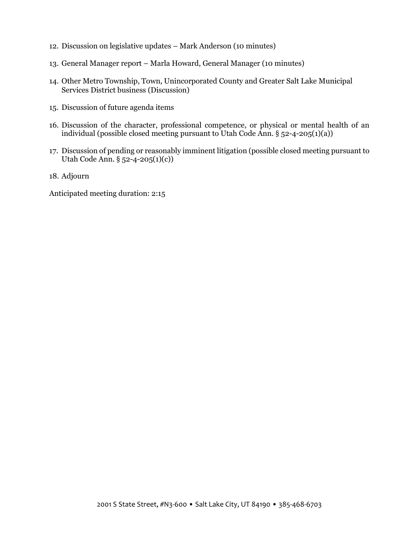- 12. Discussion on legislative updates Mark Anderson (10 minutes)
- 13. General Manager report Marla Howard, General Manager (10 minutes)
- 14. Other Metro Township, Town, Unincorporated County and Greater Salt Lake Municipal Services District business (Discussion)
- 15. Discussion of future agenda items
- 16. Discussion of the character, professional competence, or physical or mental health of an individual (possible closed meeting pursuant to Utah Code Ann.  $\S$  52-4-205(1)(a))
- 17. Discussion of pending or reasonably imminent litigation (possible closed meeting pursuant to Utah Code Ann. § 52-4-205(1)(c))
- 18. Adjourn

Anticipated meeting duration: 2:15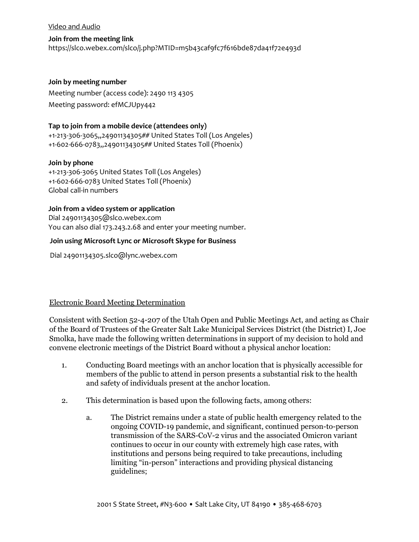#### Video and Audio

#### **Join from the meeting link**

<https://slco.webex.com/slco/j.php?MTID=m5b43caf9fc7f616bde87da41f72e493d>

#### **Join by meeting number**

Meeting number (access code): 2490 113 4305 Meeting password: efMCJUpy442

## **Tap to join from a mobile device (attendees only)**

[+1-213-306-3065,,24901134305##](tel:%2B1-213-306-3065,,*01*24901134305%23%23*01*) United States Toll (Los Angeles) [+1-602-666-0783,,24901134305##](tel:%2B1-602-666-0783,,*01*24901134305%23%23*01*) United States Toll (Phoenix)

### **Join by phone**

+1-213-306-3065 United States Toll (Los Angeles) +1-602-666-0783 United States Toll (Phoenix) [Global call-in numbers](https://slco.webex.com/slco/globalcallin.php?MTID=m4d6ba9283b6a9b513ff6cba16d9445f3)

## **Join from a video system or application**

Dia[l 24901134305@slco.webex.com](sip:24901134305@slco.webex.com) You can also dial 173.243.2.68 and enter your meeting number.

## **Join using Microsoft Lync or Microsoft Skype for Business**

Dial [24901134305.slco@lync.webex.com](sip:24901134305.slco@lync.webex.com)

## Electronic Board Meeting Determination

Consistent with Section 52-4-207 of the Utah Open and Public Meetings Act, and acting as Chair of the Board of Trustees of the Greater Salt Lake Municipal Services District (the District) I, Joe Smolka, have made the following written determinations in support of my decision to hold and convene electronic meetings of the District Board without a physical anchor location:

- 1. Conducting Board meetings with an anchor location that is physically accessible for members of the public to attend in person presents a substantial risk to the health and safety of individuals present at the anchor location.
- 2. This determination is based upon the following facts, among others:
	- a. The District remains under a state of public health emergency related to the ongoing COVID-19 pandemic, and significant, continued person-to-person transmission of the SARS-CoV-2 virus and the associated Omicron variant continues to occur in our county with extremely high case rates, with institutions and persons being required to take precautions, including limiting "in-person" interactions and providing physical distancing guidelines;